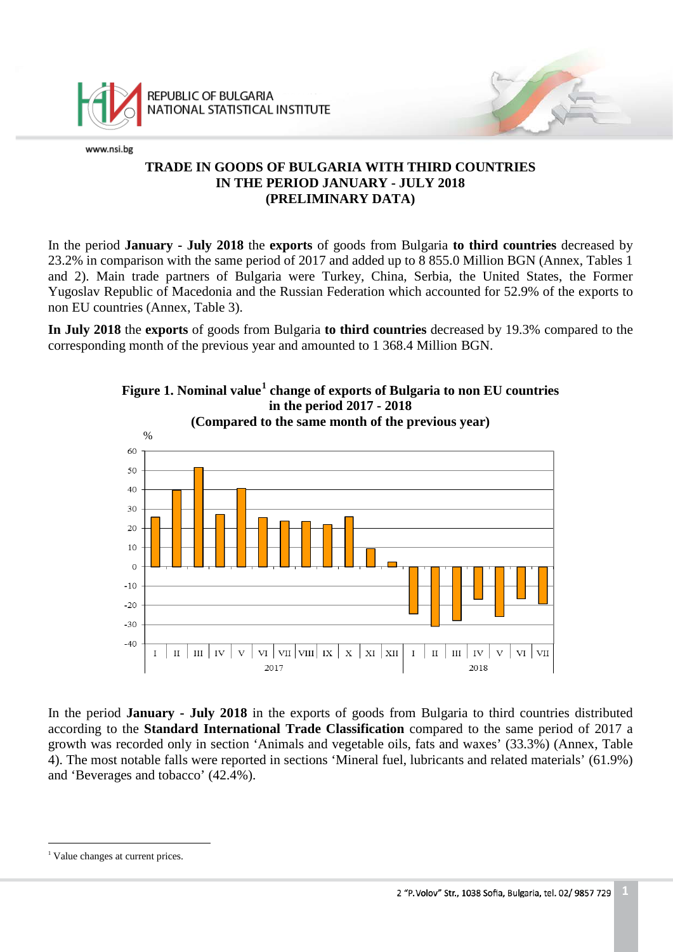

REPUBLIC OF BULGARIA NATIONAL STATISTICAL INSTITUTE

www.nsi.bg

# **TRADE IN GOODS OF BULGARIA WITH THIRD COUNTRIES IN THE PERIOD JANUARY - JULY 2018 (PRELIMINARY DATA)**

In the period **January - July 2018** the **exports** of goods from Bulgaria **to third countries** decreased by 23.2% in comparison with the same period of 2017 and added up to 8 855.0 Million BGN (Annex, Tables 1 and 2). Main trade partners of Bulgaria were Turkey, China, Serbia, the United States, the Former Yugoslav Republic of Macedonia and the Russian Federation which accounted for 52.9% of the exports to non EU countries (Annex, Table 3).

**In July 2018** the **exports** of goods from Bulgaria **to third countries** decreased by 19.3% compared to the corresponding month of the previous year and amounted to 1 368.4 Million BGN.



**Figure 1. Nominal value[1](#page-0-0) change of exports of Bulgaria to non EU countries in the period 2017 - 2018**

In the period **January - July 2018** in the exports of goods from Bulgaria to third countries distributed according to the **Standard International Trade Classification** compared to the same period of 2017 a growth was recorded only in section 'Animals and vegetable oils, fats and waxes' (33.3%) (Annex, Table 4). The most notable falls were reported in sections 'Mineral fuel, lubricants and related materials' (61.9%) and 'Beverages and tobacco' (42.4%).

<span id="page-0-0"></span><sup>&</sup>lt;sup>1</sup> Value changes at current prices. ÷,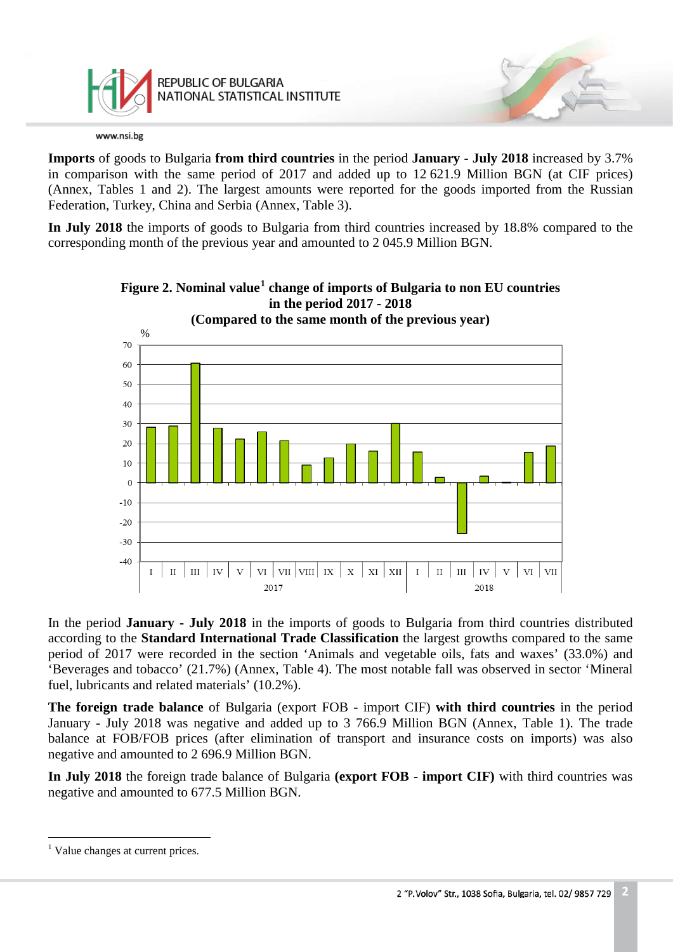

**Imports** of goods to Bulgaria **from third countries** in the period **January - July 2018** increased by 3.7% in comparison with the same period of 2017 and added up to 12 621.9 Million BGN (at CIF prices) (Annex, Tables 1 and 2). The largest amounts were reported for the goods imported from the Russian Federation, Turkey, China and Serbia (Annex, Table 3).

**In July 2018** the imports of goods to Bulgaria from third countries increased by 18.8% compared to the corresponding month of the previous year and amounted to 2 045.9 Million BGN.



**Figure 2. Nominal value[1](#page-1-0) change of imports of Bulgaria to non EU countries in the period 2017 - 2018**

In the period **January - July 2018** in the imports of goods to Bulgaria from third countries distributed according to the **Standard International Trade Classification** the largest growths compared to the same period of 2017 were recorded in the section 'Animals and vegetable oils, fats and waxes' (33.0%) and 'Beverages and tobacco' (21.7%) (Annex, Table 4). The most notable fall was observed in sector 'Mineral fuel, lubricants and related materials' (10.2%).

**The foreign trade balance** of Bulgaria (export FOB - import CIF) **with third countries** in the period January - July 2018 was negative and added up to 3 766.9 Million BGN (Annex, Table 1). The trade balance at FOB/FOB prices (after elimination of transport and insurance costs on imports) was also negative and amounted to 2 696.9 Million BGN.

**In July 2018** the foreign trade balance of Bulgaria **(export FOB - import CIF)** with third countries was negative and amounted to 677.5 Million BGN.

<span id="page-1-0"></span><sup>&</sup>lt;sup>1</sup> Value changes at current prices.  $\frac{1}{1}$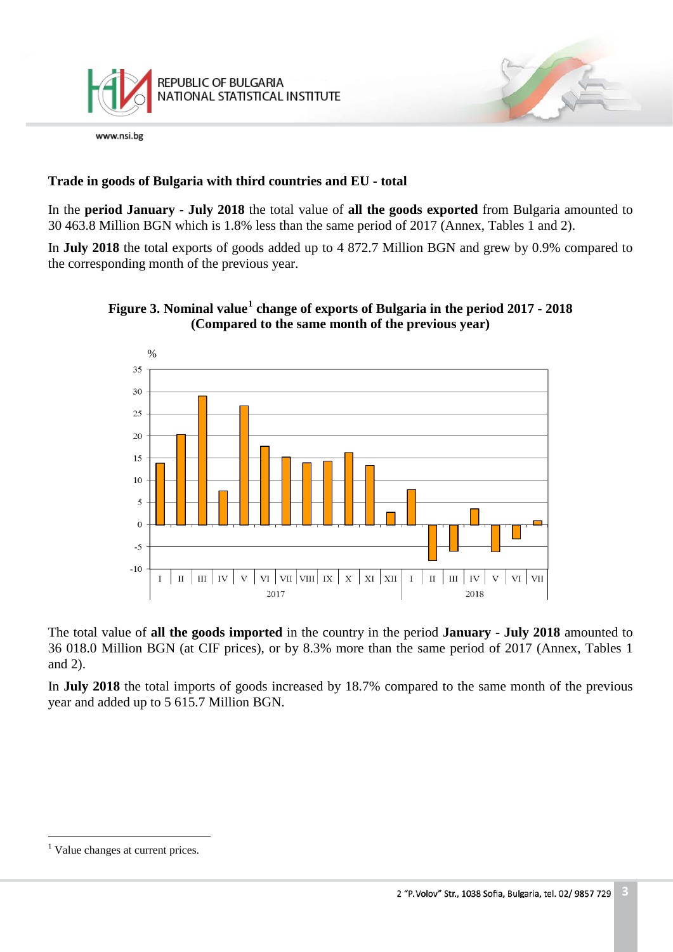

# **Trade in goods of Bulgaria with third countries and EU - total**

In the **period January - July 2018** the total value of **all the goods exported** from Bulgaria amounted to 30 463.8 Million BGN which is 1.8% less than the same period of 2017 (Annex, Tables 1 and 2).

In **July 2018** the total exports of goods added up to 4 872.7 Million BGN and grew by 0.9% compared to the corresponding month of the previous year.





The total value of **all the goods imported** in the country in the period **January - July 2018** amounted to 36 018.0 Million BGN (at CIF prices), or by 8.3% more than the same period of 2017 (Annex, Tables 1 and 2).

In **July 2018** the total imports of goods increased by 18.7% compared to the same month of the previous year and added up to 5 615.7 Million BGN.

<span id="page-2-0"></span> $<sup>1</sup>$  Value changes at current prices.</sup>  $\frac{1}{1}$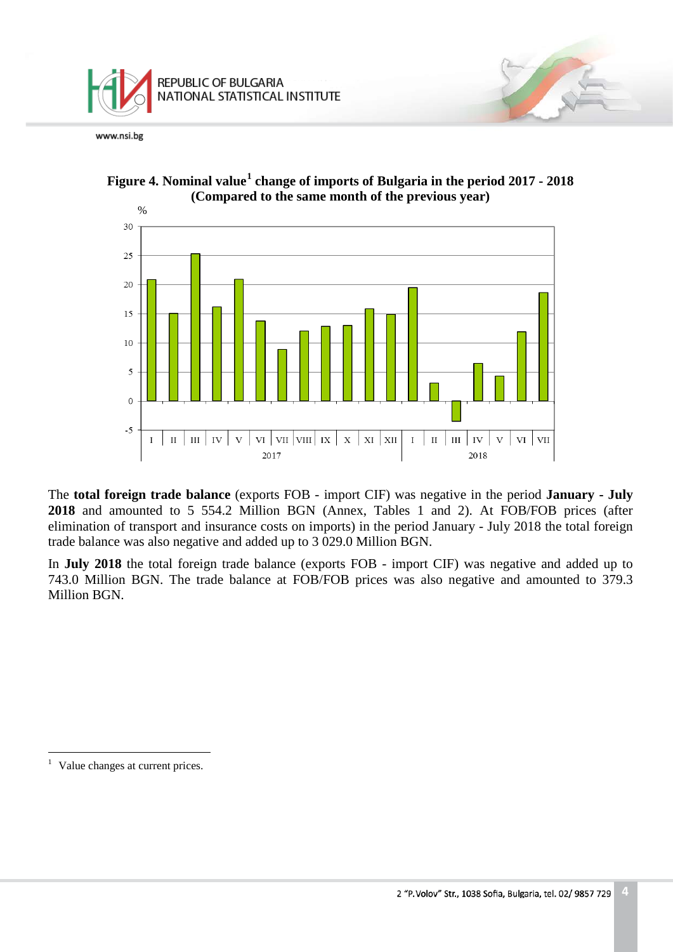



**Figure 4. Nominal value[1](#page-3-0) change of imports of Bulgaria in the period 2017 - 2018 (Compared to the same month of the previous year)**

The **total foreign trade balance** (exports FOB - import CIF) was negative in the period **January - July 2018** and amounted to 5 554.2 Million BGN (Annex, Tables 1 and 2). At FOB/FOB prices (after elimination of transport and insurance costs on imports) in the period January - July 2018 the total foreign trade balance was also negative and added up to 3 029.0 Million BGN.

In **July 2018** the total foreign trade balance (exports FOB - import CIF) was negative and added up to 743.0 Million BGN. The trade balance at FOB/FOB prices was also negative and amounted to 379.3 Million BGN.

<span id="page-3-0"></span>Value changes at current prices.  $\,1\,$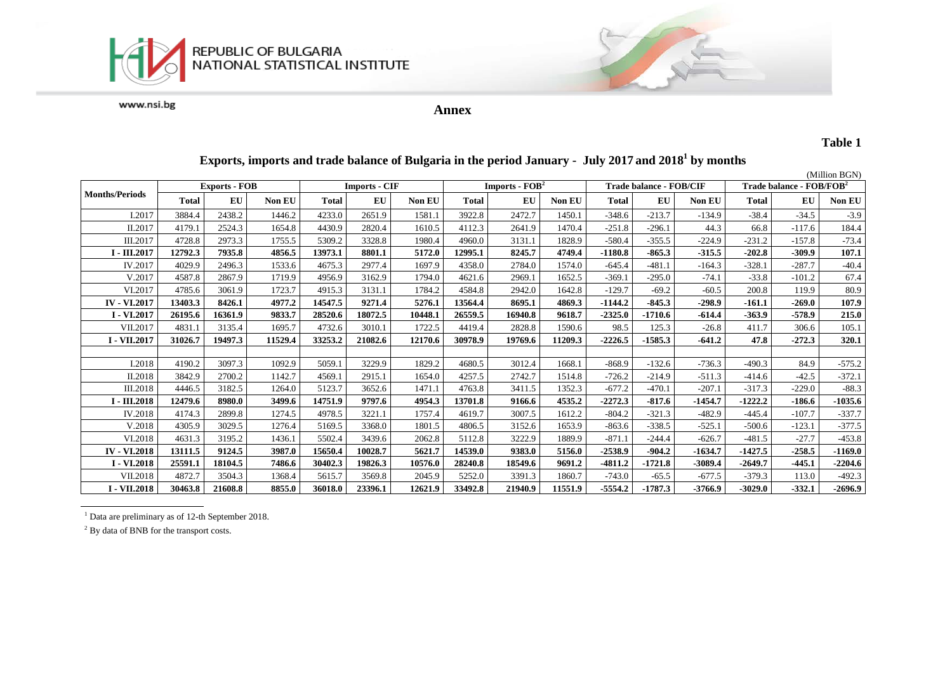



**Annex**

### **Table 1**

#### (Million BGN)<br>Trade balance - FOB/FOB<sup>2</sup> **Months/Periods Exports - FOB Imports - CIF Imports - EOB<sup>2</sup> <b>Trade balance - FOB**/CIF **Total EU Non EU Total EU Non EU Total EU Non EU Total EU Non EU Total EU Non EU**  I.2017 3884.4 2438.2 1446.2 4233.0 2651.9 1581.1 3922.8 2472.7 1450.1 -348.6 -213.7 -134.9 -38.4 -34.5 -3.9 II.2017 4179.1 2524.3 1654.8 4430.9 2820.4 1610.5 4112.3 2641.9 1470.4 -251.8 -296.1 44.3 66.8 -117.6 184.4 III.2017 4728.8 2973.3 1755.5 5309.2 3328.8 1980.4 4960.0 3131.1 1828.9 -580.4 -355.5 -224.9 -231.2 -157.8 -73.4 I - III.2017 | 12792.3 | 7935.8 | 4856.5 | 13973.1 | 8801.1 | 5172.0 | 12995.1 | 8245.7 | 4749.4 | -1180.8 | -865.3 | -315.5 | -202.8 | -309.9 | 107.1 IV.2017 4029.9 2496.3 1533.6 4675.3 2977.4 1697.9 4358.0 2784.0 1574.0 -645.4 -481.1 -164.3 -328.1 -287.7 -40.4 V.2017 4587.8 2867.9 1719.9 4956.9 3162.9 1794.0 4621.6 2969.1 1652.5 -369.1 -295.0 -74.1 -33.8 -101.2 67.4 VI.2017 4785.6 3061.9 1723.7 4915.3 3131.1 1784.2 4584.8 2942.0 1642.8 -129.7 -69.2 -60.5 200.8 119.9 80.9 IV - VI.2017 | 13403.3 | 8426.1 | 4977.2 | 14547.5 | 9271.4 | 5276.1 | 13564.4 | 8695.1 | 4869.3 | -1144.2 | -845.3 | -298.9 | -161.1 | -269.0 | 107.9 I - VI.2017 | 26195.6 | 16361.9 | 9833.7 | 28520.6 | 18072.5 | 10448.1 | 26559.5 | 16940.8 | 9618.7 | -2325.0 | -1710.6 | -614.4 | -363.9 | -578.9 | 215.0 VII.2017 4831.1 3135.4 1695.7 4732.6 3010.1 1722.5 4419.4 2828.8 1590.6 98.5 125.3 -26.8 411.7 306.6 105.1 I - VII.2017 | 31026.7 | 19497.3 | 11529.4 | 33253.2 | 21082.6 | 12170.6 | 30978.9 | 19769.6 | 11209.3 | -2226.5 | -1585.3 | -641.2 | 47.8 | -272.3 | 320.1 I.2018 4190.2 3097.3 1092.9 5059.1 3229.9 1829.2 4680.5 3012.4 1668.1 -868.9 -132.6 -736.3 -490.3 84.9 -575.2 II.2018 3842.9 2700.2 1142.7 4569.1 2915.1 1654.0 4257.5 2742.7 1514.8 -726.2 -214.9 -511.3 -414.6 -42.5 -372.1 III.2018 4446.5 3182.5 1264.0 5123.7 3652.6 1471.1 4763.8 3411.5 1352.3 -677.2 -470.1 -207.1 -317.3 -229.0 -88.3 I - III.2018 | 12479.6 | 8980.0 | 3499.6 | 14751.9 | 9797.6 | 4954.3 | 13701.8 | 9166.6 | 4535.2 | -2272.3 | -817.6 | -1454.7 | -1222.2 | -186.6 | -1035.6 IV.2018 4174.3 2899.8 1274.5 4978.5 3221.1 1757.4 4619.7 3007.5 1612.2 -804.2 -321.3 -482.9 -445.4 -107.7 -337.7 V.2018 4305.9 3029.5 1276.4 5169.5 3368.0 1801.5 4806.5 3152.6 1653.9 -863.6 -338.5 -525.1 -500.6 -123.1 -377.5 VI.2018 4631.3 3195.2 1436.1 5502.4 3439.6 2062.8 5112.8 3222.9 1889.9 -871.1 -244.4 -626.7 -481.5 -27.7 -453.8 IV - VI.2018 | 13111.5 | 9124.5 | 3987.0 | 15650.4 | 10028.7 | 5621.7 | 14539.0 | 9383.0 | 5156.0 | -2538.9 | -904.2 | -1634.7 | -1427.5 | -258.5 | -1169.0 1982- | 1.91018 | 1.9204.6 | 1.9204.6 | 1.0376.0 | 1.0476.0 | 1.0576.0 | 1.0576.0 | 1.0576.0 | 1.0576.0 | 1.0576.0 | 1.0576.0 | 1.0574.6 | 1.0579.0 | 1.0576.0 | 1.0576.0 | 1.0576.0 | 1.0574.6 | 1.0576.0 | 1.0576.0 | 1.0576 VII.2018 4872.7 3504.3 1368.4 5615.7 3569.8 2045.9 5252.0 3391.3 1860.7 -743.0 -65.5 -677.5 -379.3 113.0 -492.3 I - VII.2018 | 30463.8 | 21608.8 | 8855.0 | 36018.0 | 23396.1 | 12621.9 | 33492.8 | 21940.9 | 11551.9 | -5554.2 | -1787.3 | -3766.9 | -3029.0 | -332.1 | -2696.9

## **Exports, imports and trade balance of Bulgaria in the period January - July 2017 and 2018<sup>1</sup> by months**

 $1$  Data are preliminary as of 12-th September 2018.

<sup>2</sup> By data of BNB for the transport costs.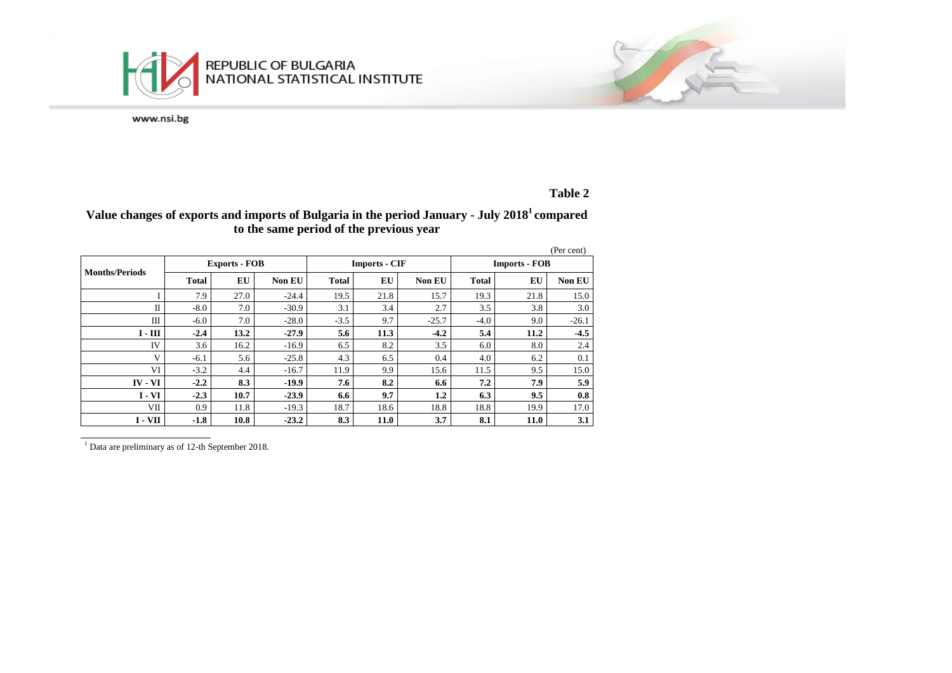

# **Table 2**

# **Value changes of exports and imports of Bulgaria in the period January - July 20181 compared to the same period of the previous year**

|                       |                      |      |               |                      |      |         |                      |      | (Per cent)    |
|-----------------------|----------------------|------|---------------|----------------------|------|---------|----------------------|------|---------------|
| <b>Months/Periods</b> | <b>Exports - FOB</b> |      |               | <b>Imports - CIF</b> |      |         | <b>Imports - FOB</b> |      |               |
|                       | <b>Total</b>         | EU   | <b>Non EU</b> | <b>Total</b>         | EU   | Non EU  | <b>Total</b>         | EU   | <b>Non EU</b> |
|                       | 7.9                  | 27.0 | $-24.4$       | 19.5                 | 21.8 | 15.7    | 19.3                 | 21.8 | 15.0          |
| $\mathbf{I}$          | $-8.0$               | 7.0  | $-30.9$       | 3.1                  | 3.4  | 2.7     | 3.5                  | 3.8  | 3.0           |
| Ш                     | $-6.0$               | 7.0  | $-28.0$       | $-3.5$               | 9.7  | $-25.7$ | $-4.0$               | 9.0  | $-26.1$       |
| $I - III$             | $-2.4$               | 13.2 | $-27.9$       | 5.6                  | 11.3 | $-4.2$  | 5.4                  | 11.2 | $-4.5$        |
| IV                    | 3.6                  | 16.2 | $-16.9$       | 6.5                  | 8.2  | 3.5     | 6.0                  | 8.0  | 2.4           |
| V                     | $-6.1$               | 5.6  | $-25.8$       | 4.3                  | 6.5  | 0.4     | 4.0                  | 6.2  | 0.1           |
| VI                    | $-3.2$               | 4.4  | $-16.7$       | 11.9                 | 9.9  | 15.6    | 11.5                 | 9.5  | 15.0          |
| $IV - VI$             | $-2.2$               | 8.3  | $-19.9$       | 7.6                  | 8.2  | 6.6     | 7.2                  | 7.9  | 5.9           |
| $I - VI$              | $-2.3$               | 10.7 | $-23.9$       | 6.6                  | 9.7  | 1.2     | 6.3                  | 9.5  | 0.8           |
| VII                   | 0.9                  | 11.8 | $-19.3$       | 18.7                 | 18.6 | 18.8    | 18.8                 | 19.9 | 17.0          |
| I - VII               | $-1.8$               | 10.8 | $-23.2$       | 8.3                  | 11.0 | 3.7     | 8.1                  | 11.0 | 3.1           |

<sup>1</sup> Data are preliminary as of 12-th September 2018.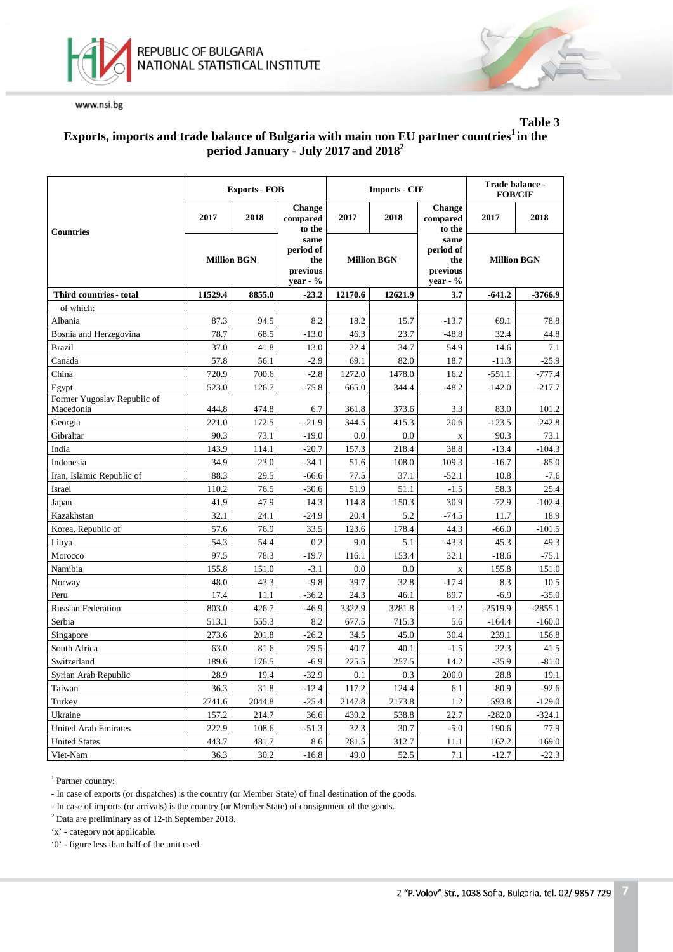



## **Table 3 Exports, imports and trade balance of Bulgaria with main non EU partner countries1 in the period January - July 2017 and 2018<sup>2</sup>**

|                                          |                    | <b>Exports - FOB</b> |                                                    |                    | <b>Imports - CIF</b> | Trade balance -<br><b>FOB/CIF</b>                  |                    |           |
|------------------------------------------|--------------------|----------------------|----------------------------------------------------|--------------------|----------------------|----------------------------------------------------|--------------------|-----------|
| <b>Countries</b>                         | 2017               | 2018                 | <b>Change</b><br>compared<br>to the                | 2017               | 2018                 | Change<br>compared<br>to the                       | 2017               | 2018      |
|                                          | <b>Million BGN</b> |                      | same<br>period of<br>the<br>previous<br>$year - %$ | <b>Million BGN</b> |                      | same<br>period of<br>the<br>previous<br>$year - %$ | <b>Million BGN</b> |           |
| Third countries - total                  | 11529.4            | 8855.0               | $-23.2$                                            | 12170.6            | 12621.9              | 3.7                                                | $-641.2$           | $-3766.9$ |
| of which:                                |                    |                      |                                                    |                    |                      |                                                    |                    |           |
| Albania                                  | 87.3               | 94.5                 | 8.2                                                | 18.2               | 15.7                 | $-13.7$                                            | 69.1               | 78.8      |
| Bosnia and Herzegovina                   | 78.7               | 68.5                 | $-13.0$                                            | 46.3               | 23.7                 | $-48.8$                                            | 32.4               | 44.8      |
| <b>Brazil</b>                            | 37.0               | 41.8                 | 13.0                                               | 22.4               | 34.7                 | 54.9                                               | 14.6               | 7.1       |
| Canada                                   | 57.8               | 56.1                 | $-2.9$                                             | 69.1               | 82.0                 | 18.7                                               | $-11.3$            | $-25.9$   |
| China                                    | 720.9              | 700.6                | $-2.8$                                             | 1272.0             | 1478.0               | 16.2                                               | $-551.1$           | $-777.4$  |
| Egypt                                    | 523.0              | 126.7                | $-75.8$                                            | 665.0              | 344.4                | $-48.2$                                            | $-142.0$           | $-217.7$  |
| Former Yugoslav Republic of<br>Macedonia | 444.8              | 474.8                | 6.7                                                | 361.8              | 373.6                | 3.3                                                | 83.0               | 101.2     |
| Georgia                                  | 221.0              | 172.5                | $-21.9$                                            | 344.5              | 415.3                | 20.6                                               | $-123.5$           | $-242.8$  |
| Gibraltar                                | 90.3               | 73.1                 | $-19.0$                                            | 0.0                | 0.0                  | $\mathbf X$                                        | 90.3               | 73.1      |
| India                                    | 143.9              | 114.1                | $-20.7$                                            | 157.3              | 218.4                | 38.8                                               | $-13.4$            | $-104.3$  |
| Indonesia                                | 34.9               | 23.0                 | $-34.1$                                            | 51.6               | 108.0                | 109.3                                              | $-16.7$            | $-85.0$   |
| Iran, Islamic Republic of                | 88.3               | 29.5                 | $-66.6$                                            | 77.5               | 37.1                 | $-52.1$                                            | 10.8               | $-7.6$    |
| Israel                                   | 110.2              | 76.5                 | $-30.6$                                            | 51.9               | 51.1                 | $-1.5$                                             | 58.3               | 25.4      |
| Japan                                    | 41.9               | 47.9                 | 14.3                                               | 114.8              | 150.3                | 30.9                                               | $-72.9$            | $-102.4$  |
| Kazakhstan                               | 32.1               | 24.1                 | $-24.9$                                            | 20.4               | 5.2                  | $-74.5$                                            | 11.7               | 18.9      |
| Korea, Republic of                       | 57.6               | 76.9                 | 33.5                                               | 123.6              | 178.4                | 44.3                                               | $-66.0$            | $-101.5$  |
| Libya                                    | 54.3               | 54.4                 | 0.2                                                | 9.0                | 5.1                  | $-43.3$                                            | 45.3               | 49.3      |
| Morocco                                  | 97.5               | 78.3                 | $-19.7$                                            | 116.1              | 153.4                | 32.1                                               | $-18.6$            | $-75.1$   |
| Namibia                                  | 155.8              | 151.0                | $-3.1$                                             | 0.0                | 0.0                  | $\mathbf X$                                        | 155.8              | 151.0     |
| Norway                                   | 48.0               | 43.3                 | $-9.8$                                             | 39.7               | 32.8                 | $-17.4$                                            | 8.3                | 10.5      |
| Peru                                     | 17.4               | 11.1                 | $-36.2$                                            | 24.3               | 46.1                 | 89.7                                               | $-6.9$             | $-35.0$   |
| <b>Russian Federation</b>                | 803.0              | 426.7                | $-46.9$                                            | 3322.9             | 3281.8               | $-1.2$                                             | $-2519.9$          | $-2855.1$ |
| Serbia                                   | 513.1              | 555.3                | 8.2                                                | 677.5              | 715.3                | 5.6                                                | $-164.4$           | $-160.0$  |
| Singapore                                | 273.6              | 201.8                | $-26.2$                                            | 34.5               | 45.0                 | 30.4                                               | 239.1              | 156.8     |
| South Africa                             | 63.0               | 81.6                 | 29.5                                               | 40.7               | 40.1                 | $-1.5$                                             | 22.3               | 41.5      |
| Switzerland                              | 189.6              | 176.5                | $-6.9$                                             | 225.5              | 257.5                | 14.2                                               | $-35.9$            | $-81.0$   |
| Syrian Arab Republic                     | 28.9               | 19.4                 | $-32.9$                                            | 0.1                | 0.3                  | 200.0                                              | 28.8               | 19.1      |
| Taiwan                                   | 36.3               | 31.8                 | $-12.4$                                            | 117.2              | 124.4                | 6.1                                                | $-80.9$            | $-92.6$   |
| Turkey                                   | 2741.6             | 2044.8               | $-25.4$                                            | 2147.8             | 2173.8               | 1.2                                                | 593.8              | $-129.0$  |
| Ukraine                                  | 157.2              | 214.7                | 36.6                                               | 439.2              | 538.8                | 22.7                                               | $-282.0$           | $-324.1$  |
| <b>United Arab Emirates</b>              | 222.9              | 108.6                | $-51.3$                                            | 32.3               | 30.7                 | $-5.0$                                             | 190.6              | 77.9      |
| <b>United States</b>                     | 443.7              | 481.7                | 8.6                                                | 281.5              | 312.7                | 11.1                                               | 162.2              | 169.0     |
| Viet-Nam                                 | 36.3               | 30.2                 | $-16.8$                                            | 49.0               | 52.5                 | 7.1                                                | $-12.7$            | $-22.3$   |

<sup>1</sup> Partner country:

- In case of exports (or dispatches) is the country (or Member State) of final destination of the goods.

- In case of imports (or arrivals) is the country (or Member State) of consignment of the goods.

<sup>2</sup> Data are preliminary as of 12-th September 2018.

'x' - category not applicable.

'0' - figure less than half of the unit used.